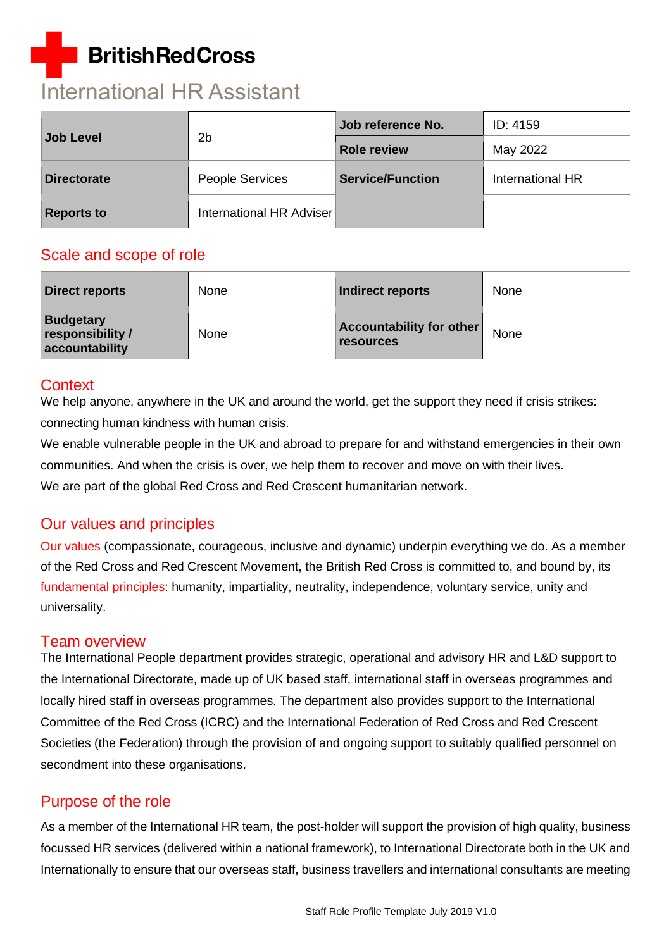# **BritishRedCross**

# International HR Assistant

| <b>Job Level</b>   | 2 <sub>b</sub>           | Job reference No.       | ID: 4159         |  |
|--------------------|--------------------------|-------------------------|------------------|--|
|                    |                          | <b>Role review</b>      | May 2022         |  |
| <b>Directorate</b> | <b>People Services</b>   | <b>Service/Function</b> | International HR |  |
| <b>Reports to</b>  | International HR Adviser |                         |                  |  |

## Scale and scope of role

| <b>Direct reports</b>                                  | <b>None</b> | Indirect reports                                    | None |
|--------------------------------------------------------|-------------|-----------------------------------------------------|------|
| <b>Budgetary</b><br>responsibility /<br>accountability | <b>None</b> | <b>Accountability for other</b><br><b>resources</b> | None |

## **Context**

We help anyone, anywhere in the UK and around the world, get the support they need if crisis strikes: connecting human kindness with human crisis.

We enable vulnerable people in the UK and abroad to prepare for and withstand emergencies in their own communities. And when the crisis is over, we help them to recover and move on with their lives. We are part of the global Red Cross and Red Crescent humanitarian network.

# Our values and principles

[Our values](http://www.redcross.org.uk/About-us/Who-we-are/Our-values) (compassionate, courageous, inclusive and dynamic) underpin everything we do. As a member of the Red Cross and Red Crescent Movement, the British Red Cross is committed to, and bound by, its [fundamental principles:](http://www.redcross.org.uk/principles) humanity, impartiality, neutrality, independence, voluntary service, unity and universality.

## Team overview

The International People department provides strategic, operational and advisory HR and L&D support to the International Directorate, made up of UK based staff, international staff in overseas programmes and locally hired staff in overseas programmes. The department also provides support to the International Committee of the Red Cross (ICRC) and the International Federation of Red Cross and Red Crescent Societies (the Federation) through the provision of and ongoing support to suitably qualified personnel on secondment into these organisations.

# Purpose of the role

As a member of the International HR team, the post-holder will support the provision of high quality, business focussed HR services (delivered within a national framework), to International Directorate both in the UK and Internationally to ensure that our overseas staff, business travellers and international consultants are meeting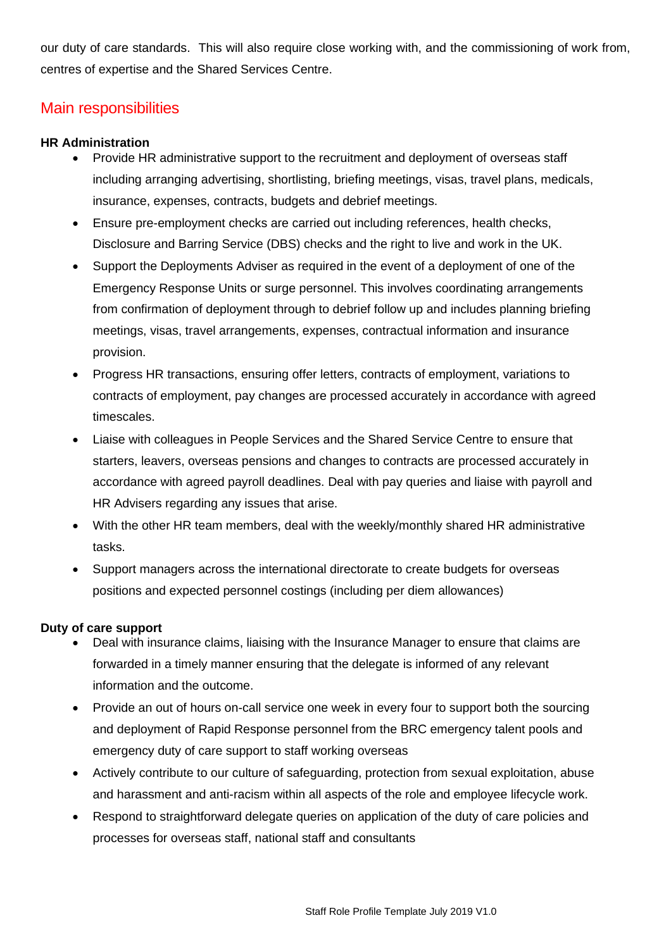our duty of care standards. This will also require close working with, and the commissioning of work from, centres of expertise and the Shared Services Centre.

## Main responsibilities

#### **HR Administration**

- Provide HR administrative support to the recruitment and deployment of overseas staff including arranging advertising, shortlisting, briefing meetings, visas, travel plans, medicals, insurance, expenses, contracts, budgets and debrief meetings.
- Ensure pre-employment checks are carried out including references, health checks, Disclosure and Barring Service (DBS) checks and the right to live and work in the UK.
- Support the Deployments Adviser as required in the event of a deployment of one of the Emergency Response Units or surge personnel. This involves coordinating arrangements from confirmation of deployment through to debrief follow up and includes planning briefing meetings, visas, travel arrangements, expenses, contractual information and insurance provision.
- Progress HR transactions, ensuring offer letters, contracts of employment, variations to contracts of employment, pay changes are processed accurately in accordance with agreed timescales.
- Liaise with colleagues in People Services and the Shared Service Centre to ensure that starters, leavers, overseas pensions and changes to contracts are processed accurately in accordance with agreed payroll deadlines. Deal with pay queries and liaise with payroll and HR Advisers regarding any issues that arise.
- With the other HR team members, deal with the weekly/monthly shared HR administrative tasks.
- Support managers across the international directorate to create budgets for overseas positions and expected personnel costings (including per diem allowances)

#### **Duty of care support**

- Deal with insurance claims, liaising with the Insurance Manager to ensure that claims are forwarded in a timely manner ensuring that the delegate is informed of any relevant information and the outcome.
- Provide an out of hours on-call service one week in every four to support both the sourcing and deployment of Rapid Response personnel from the BRC emergency talent pools and emergency duty of care support to staff working overseas
- Actively contribute to our culture of safeguarding, protection from sexual exploitation, abuse and harassment and anti-racism within all aspects of the role and employee lifecycle work.
- Respond to straightforward delegate queries on application of the duty of care policies and processes for overseas staff, national staff and consultants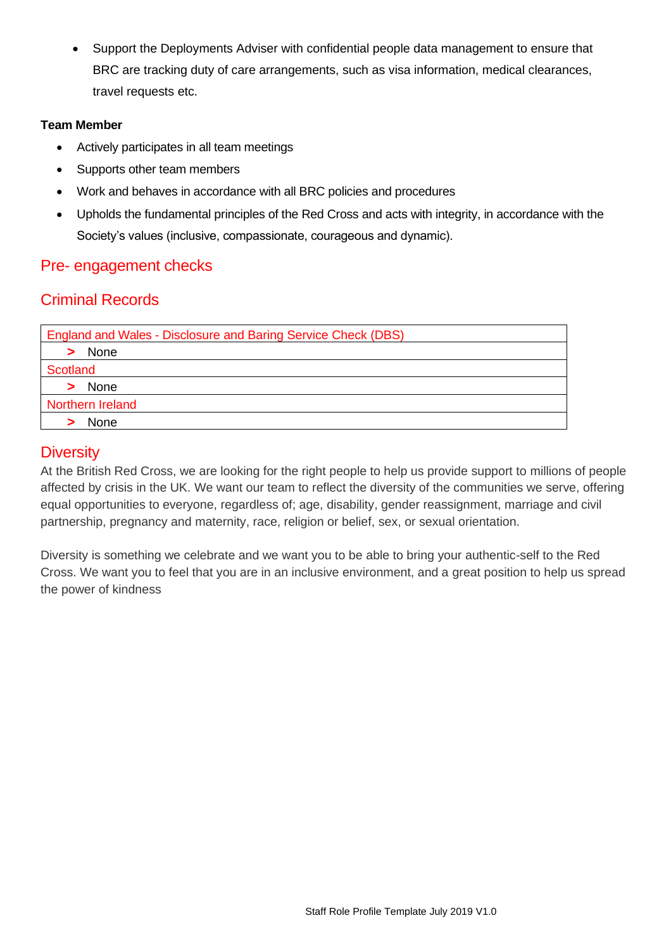• Support the Deployments Adviser with confidential people data management to ensure that BRC are tracking duty of care arrangements, such as visa information, medical clearances, travel requests etc.

#### **Team Member**

- Actively participates in all team meetings
- Supports other team members
- Work and behaves in accordance with all BRC policies and procedures
- Upholds the fundamental principles of the Red Cross and acts with integrity, in accordance with the Society's values (inclusive, compassionate, courageous and dynamic).

# Pre- engagement checks

# Criminal Records

| <b>England and Wales - Disclosure and Baring Service Check (DBS)</b> |
|----------------------------------------------------------------------|
| None                                                                 |
| <b>Scotland</b>                                                      |
| None                                                                 |
| Northern Ireland                                                     |
| None                                                                 |

## **Diversity**

At the British Red Cross, we are looking for the right people to help us provide support to millions of people affected by crisis in the UK. We want our team to reflect the diversity of the communities we serve, offering equal opportunities to everyone, regardless of; age, disability, gender reassignment, marriage and civil partnership, pregnancy and maternity, race, religion or belief, sex, or sexual orientation.

Diversity is something we celebrate and we want you to be able to bring your authentic-self to the Red Cross. We want you to feel that you are in an inclusive environment, and a great position to help us spread the power of kindness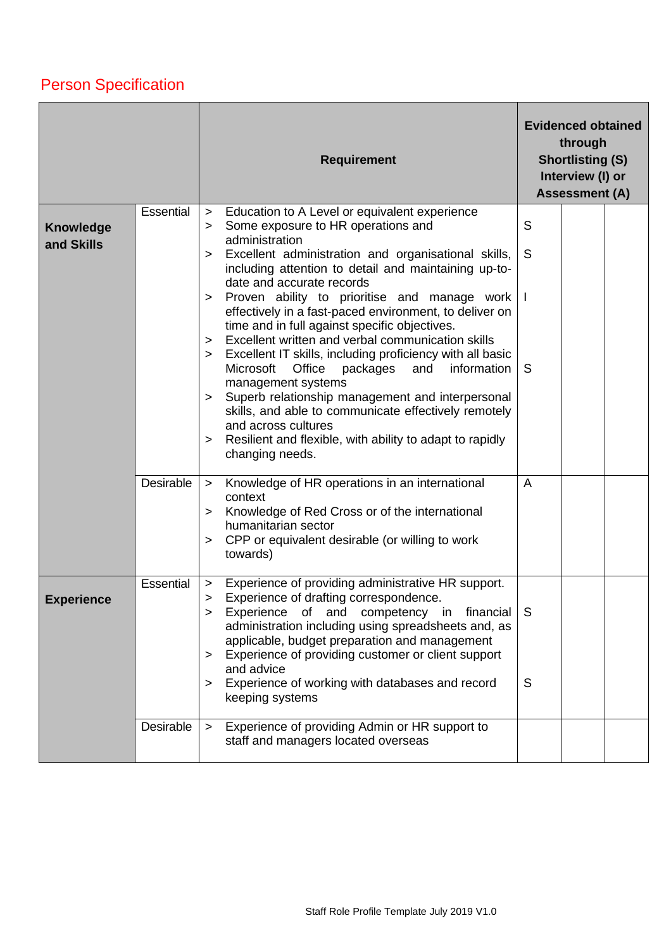# Person Specification

|                   | <b>Requirement</b> |                                                                                                                          | <b>Evidenced obtained</b><br>through<br><b>Shortlisting (S)</b><br>Interview (I) or<br><b>Assessment (A)</b> |  |  |
|-------------------|--------------------|--------------------------------------------------------------------------------------------------------------------------|--------------------------------------------------------------------------------------------------------------|--|--|
| Knowledge         | Essential          | Education to A Level or equivalent experience<br>$\geq$<br>Some exposure to HR operations and<br>>                       | S                                                                                                            |  |  |
| and Skills        |                    | administration<br>Excellent administration and organisational skills,<br>⋗                                               | S                                                                                                            |  |  |
|                   |                    | including attention to detail and maintaining up-to-                                                                     |                                                                                                              |  |  |
|                   |                    | date and accurate records<br>Proven ability to prioritise and manage work<br>>                                           |                                                                                                              |  |  |
|                   |                    | effectively in a fast-paced environment, to deliver on<br>time and in full against specific objectives.                  |                                                                                                              |  |  |
|                   |                    | Excellent written and verbal communication skills<br>><br>Excellent IT skills, including proficiency with all basic<br>> |                                                                                                              |  |  |
|                   |                    | Microsoft<br>Office<br>packages<br>and<br>information<br>management systems                                              | <sub>S</sub>                                                                                                 |  |  |
|                   |                    | Superb relationship management and interpersonal<br>$\geq$<br>skills, and able to communicate effectively remotely       |                                                                                                              |  |  |
|                   |                    | and across cultures                                                                                                      |                                                                                                              |  |  |
|                   |                    | Resilient and flexible, with ability to adapt to rapidly<br>$\geq$<br>changing needs.                                    |                                                                                                              |  |  |
|                   | Desirable          | Knowledge of HR operations in an international<br>$\geq$<br>context                                                      | A                                                                                                            |  |  |
|                   |                    | Knowledge of Red Cross or of the international<br>⋗                                                                      |                                                                                                              |  |  |
|                   |                    | humanitarian sector<br>CPP or equivalent desirable (or willing to work<br>>                                              |                                                                                                              |  |  |
|                   |                    | towards)                                                                                                                 |                                                                                                              |  |  |
| <b>Experience</b> | Essential          | Experience of providing administrative HR support.<br>$\geq$<br>Experience of drafting correspondence.<br>>              |                                                                                                              |  |  |
|                   |                    | Experience of and competency in financial<br>administration including using spreadsheets and, as                         | S                                                                                                            |  |  |
|                   |                    | applicable, budget preparation and management<br>Experience of providing customer or client support                      |                                                                                                              |  |  |
|                   |                    | $\geq$<br>and advice                                                                                                     |                                                                                                              |  |  |
|                   |                    | Experience of working with databases and record<br>><br>keeping systems                                                  | S                                                                                                            |  |  |
|                   | Desirable          | Experience of providing Admin or HR support to<br>$\geq$<br>staff and managers located overseas                          |                                                                                                              |  |  |